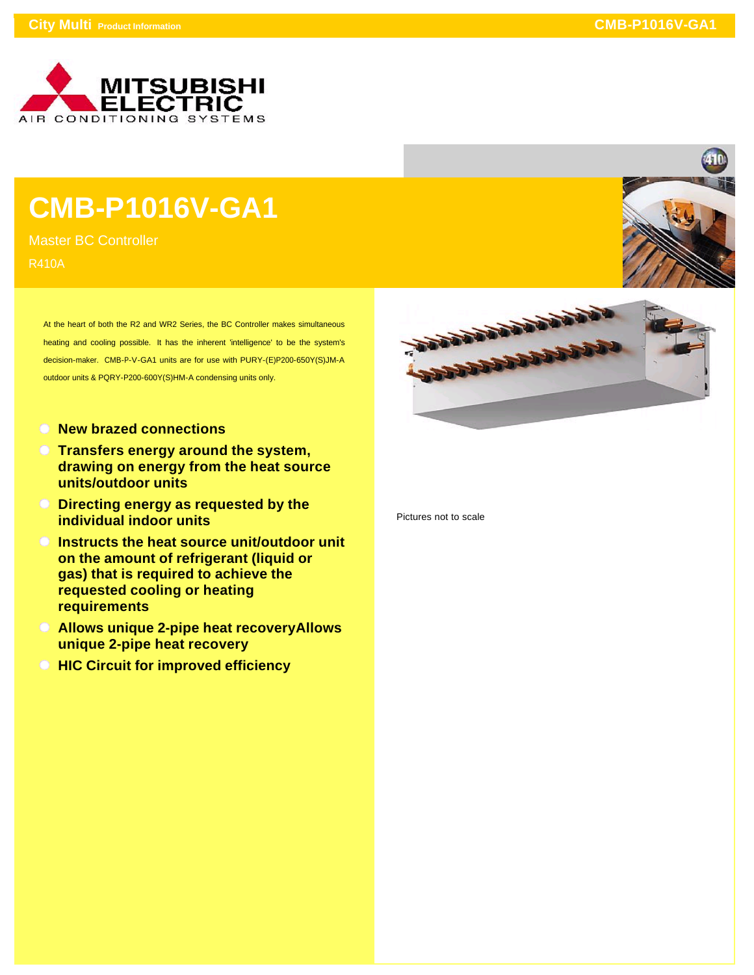

## **CMB-P1016V-GA1**

Master BC Controller R410A

> At the heart of both the R2 and WR2 Series, the BC Controller makes simultaneous heating and cooling possible. It has the inherent 'intelligence' to be the system's decision-maker. CMB-P-V-GA1 units are for use with PURY-(E)P200-650Y(S)JM-A outdoor units & PQRY-P200-600Y(S)HM-A condensing units only.

- **New brazed connections**
- **Transfers energy around the system, drawing on energy from the heat source units/outdoor units**
- **Directing energy as requested by the individual indoor units**
- **Instructs the heat source unit/outdoor unit on the amount of refrigerant (liquid or gas) that is required to achieve the requested cooling or heating requirements**
- **Allows unique 2-pipe heat recoveryAllows unique 2-pipe heat recovery**
- **HIC Circuit for improved efficiency**





Pictures not to scale